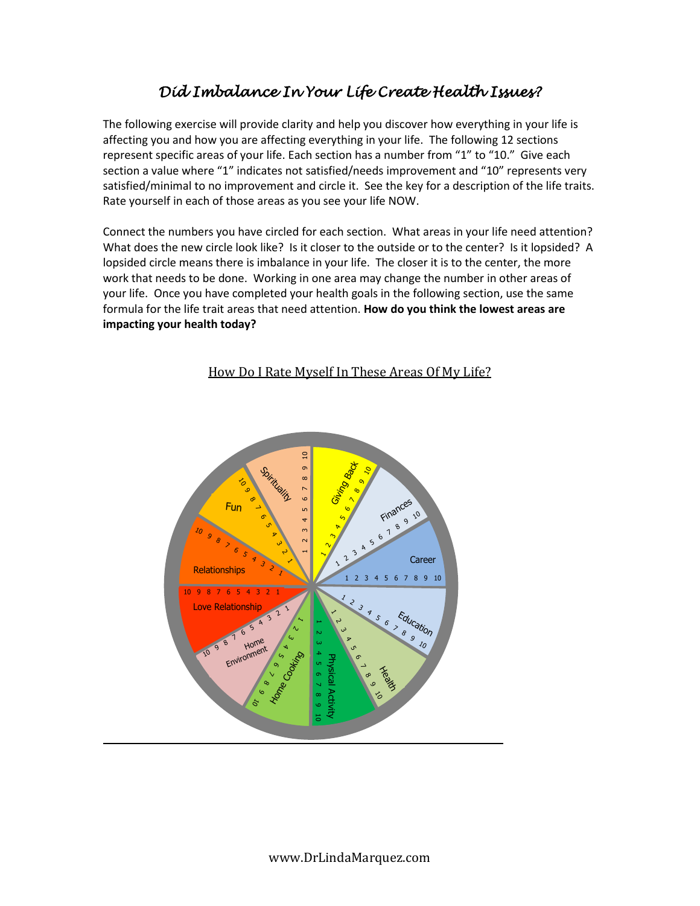## *Did Imbalance In Your Life Create Health Issues?*

The following exercise will provide clarity and help you discover how everything in your life is affecting you and how you are affecting everything in your life. The following 12 sections represent specific areas of your life. Each section has a number from "1" to "10." Give each section a value where "1" indicates not satisfied/needs improvement and "10" represents very satisfied/minimal to no improvement and circle it. See the key for a description of the life traits. Rate yourself in each of those areas as you see your life NOW.

Connect the numbers you have circled for each section. What areas in your life need attention? What does the new circle look like? Is it closer to the outside or to the center? Is it lopsided? A lopsided circle means there is imbalance in your life. The closer it is to the center, the more work that needs to be done. Working in one area may change the number in other areas of your life. Once you have completed your health goals in the following section, use the same formula for the life trait areas that need attention. **How do you think the lowest areas are impacting your health today?**



## How Do I Rate Myself In These Areas Of My Life?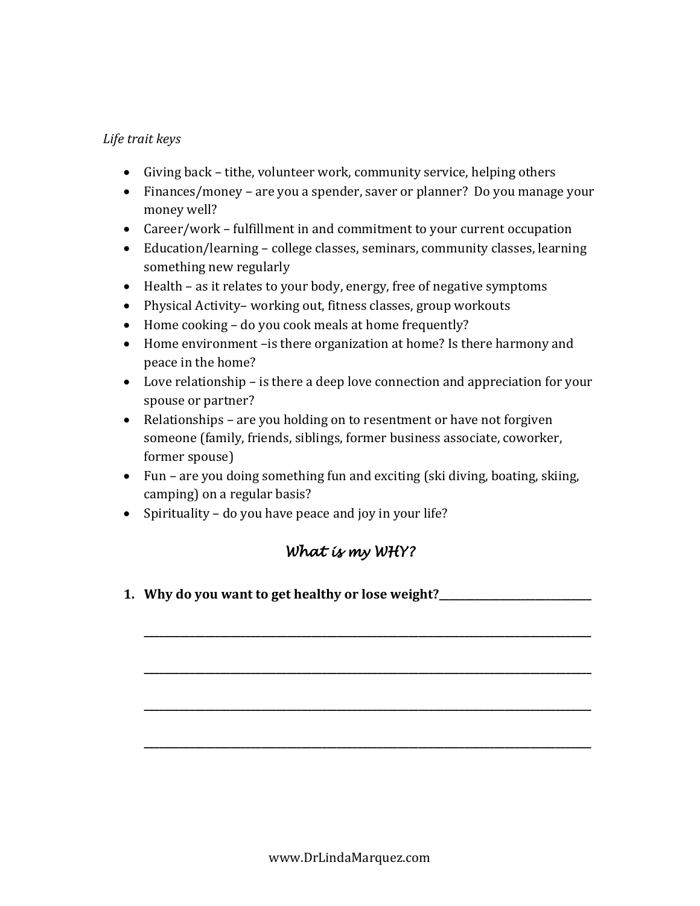## *Life trait keys*

- Giving back tithe, volunteer work, community service, helping others
- Finances/money are you a spender, saver or planner? Do you manage your money well?
- Career/work fulfillment in and commitment to your current occupation
- Education/learning college classes, seminars, community classes, learning something new regularly
- Health as it relates to your body, energy, free of negative symptoms
- Physical Activity– working out, fitness classes, group workouts
- Home cooking do you cook meals at home frequently?
- Home environment –is there organization at home? Is there harmony and peace in the home?
- Love relationship is there a deep love connection and appreciation for your spouse or partner?
- Relationships are you holding on to resentment or have not forgiven someone (family, friends, siblings, former business associate, coworker, former spouse)
- Fun are you doing something fun and exciting (ski diving, boating, skiing, camping) on a regular basis?
- Spirituality do you have peace and joy in your life?

## *What is my WHY?*

**\_\_\_\_\_\_\_\_\_\_\_\_\_\_\_\_\_\_\_\_\_\_\_\_\_\_\_\_\_\_\_\_\_\_\_\_\_\_\_\_\_\_\_\_\_\_\_\_\_\_\_\_\_\_\_\_\_\_\_\_\_\_\_\_\_\_\_\_\_\_\_\_\_\_\_\_\_\_\_\_\_\_\_\_\_\_\_\_** 

**\_\_\_\_\_\_\_\_\_\_\_\_\_\_\_\_\_\_\_\_\_\_\_\_\_\_\_\_\_\_\_\_\_\_\_\_\_\_\_\_\_\_\_\_\_\_\_\_\_\_\_\_\_\_\_\_\_\_\_\_\_\_\_\_\_\_\_\_\_\_\_\_\_\_\_\_\_\_\_\_\_\_\_\_\_\_\_\_** 

**\_\_\_\_\_\_\_\_\_\_\_\_\_\_\_\_\_\_\_\_\_\_\_\_\_\_\_\_\_\_\_\_\_\_\_\_\_\_\_\_\_\_\_\_\_\_\_\_\_\_\_\_\_\_\_\_\_\_\_\_\_\_\_\_\_\_\_\_\_\_\_\_\_\_\_\_\_\_\_\_\_\_\_\_\_\_\_\_** 

**\_\_\_\_\_\_\_\_\_\_\_\_\_\_\_\_\_\_\_\_\_\_\_\_\_\_\_\_\_\_\_\_\_\_\_\_\_\_\_\_\_\_\_\_\_\_\_\_\_\_\_\_\_\_\_\_\_\_\_\_\_\_\_\_\_\_\_\_\_\_\_\_\_\_\_\_\_\_\_\_\_\_\_\_\_\_\_\_** 

**1. Why do you want to get healthy or lose weight?\_\_\_\_\_\_\_\_\_\_\_\_\_\_\_\_\_\_\_\_\_\_\_\_\_\_\_\_\_\_**